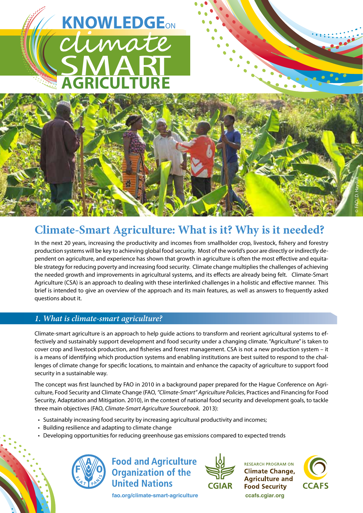# SMART **AGRICULTURE KNOWLEDGE**ON

# **Climate-Smart Agriculture: What is it? Why is it needed?**

In the next 20 years, increasing the productivity and incomes from smallholder crop, livestock, fishery and forestry production systems will be key to achieving global food security. Most of the world's poor are directly or indirectly dependent on agriculture, and experience has shown that growth in agriculture is often the most effective and equitable strategy for reducing poverty and increasing food security. Climate change multiplies the challenges of achieving the needed growth and improvements in agricultural systems, and its effects are already being felt. Climate-Smart Agriculture (CSA) is an approach to dealing with these interlinked challenges in a holistic and effective manner. This brief is intended to give an overview of the approach and its main features, as well as answers to frequently asked questions about it.

# *1. What is climate-smart agriculture?*

Climate-smart agriculture is an approach to help guide actions to transform and reorient agricultural systems to effectively and sustainably support development and food security under a changing climate. "Agriculture" is taken to cover crop and livestock production, and fisheries and forest management. CSA is not a new production system – it is a means of identifying which production systems and enabling institutions are best suited to respond to the challenges of climate change for specific locations, to maintain and enhance the capacity of agriculture to support food security in a sustainable way.

The concept was first launched by FAO in 2010 in a background paper prepared for the Hague Conference on Agriculture, Food Security and Climate Change (FAO, *"Climate-Smart" Agriculture Policies*, Practices and Financing for Food Security, Adaptation and Mitigation. 2010), in the context of national food security and development goals, to tackle three main objectives (FAO, *Climate-Smart Agriculture Sourcebook*. 2013):

- • Sustainably increasing food security by increasing agricultural productivity and incomes;
- Building resilience and adapting to climate change
- Developing opportunities for reducing greenhouse gas emissions compared to expected trends



**Food and Agriculture Organization of the United Nations** 

**fao.org/climate-smart-agriculture ccafs.cgiar.org**



**RESEARCH PROGRAM ON Climate Change, Agriculture and Food Security** 



©

FAO/ D. Hayduk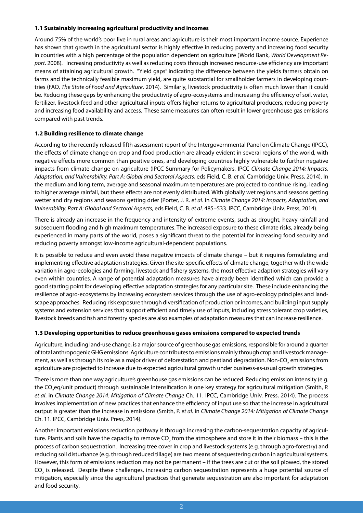#### **1.1 Sustainably increasing agricultural productivity and incomes**

Around 75% of the world's poor live in rural areas and agriculture is their most important income source. Experience has shown that growth in the agricultural sector is highly effective in reducing poverty and increasing food security in countries with a high percentage of the population dependent on agriculture (World Bank, *World Development Report*. 2008). Increasing productivity as well as reducing costs through increased resource-use efficiency are important means of attaining agricultural growth. "Yield gaps" indicating the difference between the yields farmers obtain on farms and the technically feasible maximum yield, are quite substantial for smallholder farmers in developing countries (FAO, *The State of Food and Agriculture*. 2014). Similarly, livestock productivity is often much lower than it could be. Reducing these gaps by enhancing the productivity of agro-ecosystems and increasing the efficiency of soil, water, fertilizer, livestock feed and other agricultural inputs offers higher returns to agricultural producers, reducing poverty and increasing food availability and access. These same measures can often result in lower greenhouse gas emissions compared with past trends.

# **1.2 Building resilience to climate change**

According to the recently released fifth assessment report of the Intergovernmental Panel on Climate Change (IPCC), the effects of climate change on crop and food production are already evident in several regions of the world, with negative effects more common than positive ones, and developing countries highly vulnerable to further negative impacts from climate change on agriculture (IPCC Summary for Policymakers. IPCC *Climate Change 2014: Impacts, Adaptation, and Vulnerability. Part A: Global and Sectoral Aspects,* eds Field, C. B. *et al.* Cambridge Univ. Press, 2014). In the medium and long term, average and seasonal maximum temperatures are projected to continue rising, leading to higher average rainfall, but these effects are not evenly distributed. With globally wet regions and seasons getting wetter and dry regions and seasons getting drier (Porter, J. R. *et al*. in *Climate Change 2014: Impacts, Adaptation, and Vulnerability. Part A: Global and Sectoral Aspects,* eds Field, C. B. *et al*. 485–533. IPCC, Cambridge Univ. Press, 2014).

There is already an increase in the frequency and intensity of extreme events, such as drought, heavy rainfall and subsequent flooding and high maximum temperatures. The increased exposure to these climate risks, already being experienced in many parts of the world, poses a significant threat to the potential for increasing food security and reducing poverty amongst low-income agricultural-dependent populations.

It is possible to reduce and even avoid these negative impacts of climate change – but it requires formulating and implementing effective adaptation strategies. Given the site-specific effects of climate change, together with the wide variation in agro-ecologies and farming, livestock and fishery systems, the most effective adaption strategies will vary even within countries. A range of potential adaptation measures have already been identified which can provide a good starting point for developing effective adaptation strategies for any particular site. These include enhancing the resilience of agro-ecosystems by increasing ecosystem services through the use of agro-ecology principles and landscape approaches. Reducing risk exposure through diversification of production or incomes, and building input supply systems and extension services that support efficient and timely use of inputs, including stress tolerant crop varieties, livestock breeds and fish and forestry species are also examples of adaptation measures that can increase resilience.

#### **1.3 Developing opportunities to reduce greenhouse gases emissions compared to expected trends**

Agriculture, including land-use change, is a major source of greenhouse gas emissions, responsible for around a quarter of total anthropogenic GHG emissions. Agriculture contributes to emissions mainly through crop and livestock management, as well as through its role as a major driver of deforestation and peatland degradation. Non-CO<sub>2</sub> emissions from agriculture are projected to increase due to expected agricultural growth under business-as-usual growth strategies.

There is more than one way agriculture's greenhouse gas emissions can be reduced. Reducing emission intensity (e.g. the CO<sub>2</sub>eq/unit product) through sustainable intensification is one key strategy for agricultural mitigation (Smith, P. *et al*. in *Climate Change 2014: Mitigation of Climate Change* Ch. 11. IPCC, Cambridge Univ. Press, 2014). The process involves implementation of new practices that enhance the efficiency of input use so that the increase in agricultural output is greater than the increase in emissions (Smith, P. *et al.* in *Climate Change 2014: Mitigation of Climate Change* Ch. 11. IPCC, Cambridge Univ. Press, 2014).

Another important emissions reduction pathway is through increasing the carbon-sequestration capacity of agriculture. Plants and soils have the capacity to remove CO<sub>2</sub> from the atmosphere and store it in their biomass – this is the process of carbon sequestration. Increasing tree cover in crop and livestock systems (e.g. through agro-forestry) and reducing soil disturbance (e.g. through reduced tillage) are two means of sequestering carbon in agricultural systems. However, this form of emissions reduction may not be permanent – if the trees are cut or the soil plowed, the stored CO<sub>2</sub> is released. Despite these challenges, increasing carbon sequestration represents a huge potential source of mitigation, especially since the agricultural practices that generate sequestration are also important for adaptation and food security.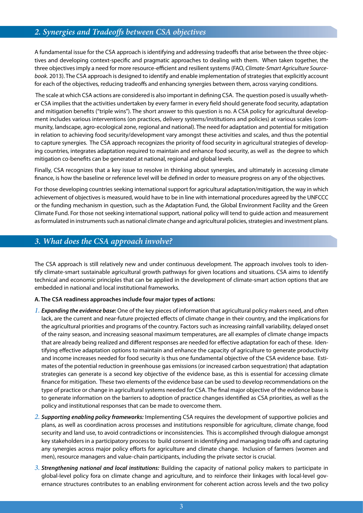# *2. Synergies and Tradeoffs between CSA objectives*

A fundamental issue for the CSA approach is identifying and addressing tradeoffs that arise between the three objectives and developing context-specific and pragmatic approaches to dealing with them. When taken together, the three objectives imply a need for more resource-efficient and resilient systems (FAO, *Climate-Smart Agriculture Sourcebook.* 2013). The CSA approach is designed to identify and enable implementation of strategies that explicitly account for each of the objectives, reducing tradeoffs and enhancing synergies between them, across varying conditions.

 The scale at which CSA actions are considered is also important in defining CSA. The question posed is usually whether CSA implies that the activities undertaken by every farmer in every field should generate food security, adaptation and mitigation benefits ("triple wins"). The short answer to this question is no. A CSA policy for agricultural development includes various interventions (on practices, delivery systems/institutions and policies) at various scales (community, landscape, agro-ecological zone, regional and national). The need for adaptation and potential for mitigation in relation to achieving food security/development vary amongst these activities and scales, and thus the potential to capture synergies. The CSA approach recognizes the priority of food security in agricultural strategies of developing countries, integrates adaptation required to maintain and enhance food security, as well as the degree to which mitigation co-benefits can be generated at national, regional and global levels.

Finally, CSA recognizes that a key issue to resolve in thinking about synergies, and ultimately in accessing climate finance, is how the baseline or reference level will be defined in order to measure progress on any of the objectives.

For those developing countries seeking international support for agricultural adaptation/mitigation, the way in which achievement of objectives is measured, would have to be in line with international procedures agreed by the UNFCCC or the funding mechanism in question, such as the Adaptation Fund, the Global Environment Facility and the Green Climate Fund. For those not seeking international support, national policy will tend to guide action and measurement as formulated in instruments such as national climate change and agricultural policies, strategies and investment plans.

# *3. What does the CSA approach involve?*

The CSA approach is still relatively new and under continuous development. The approach involves tools to identify climate-smart sustainable agricultural growth pathways for given locations and situations. CSA aims to identify technical and economic principles that can be applied in the development of climate-smart action options that are embedded in national and local institutional frameworks.

#### **A. The CSA readiness approaches include four major types of actions:**

- *1. Expanding the evidence base***:** One of the key pieces of information that agricultural policy makers need, and often lack, are the current and near-future projected effects of climate change in their country, and the implications for the agricultural priorities and programs of the country. Factors such as increasing rainfall variability, delayed onset of the rainy season, and increasing seasonal maximum temperatures, are all examples of climate change impacts that are already being realized and different responses are needed for effective adaptation for each of these. Identifying effective adaptation options to maintain and enhance the capacity of agriculture to generate productivity and income increases needed for food security is thus one fundamental objective of the CSA evidence base. Estimates of the potential reduction in greenhouse gas emissions (or increased carbon sequestration) that adaptation strategies can generate is a second key objective of the evidence base, as this is essential for accessing climate finance for mitigation. These two elements of the evidence base can be used to develop recommendations on the type of practice or change in agricultural systems needed for CSA. The final major objective of the evidence base is to generate information on the barriers to adoption of practice changes identified as CSA priorities, as well as the policy and institutional responses that can be made to overcome them.
- *2. Supporting enabling policy frameworks:* Implementing CSA requires the development of supportive policies and plans, as well as coordination across processes and institutions responsible for agriculture, climate change, food security and land use, to avoid contradictions or inconsistencies. This is accomplished through dialogue amongst key stakeholders in a participatory process to build consent in identifying and managing trade offs and capturing any synergies across major policy efforts for agriculture and climate change. Inclusion of farmers (women and men), resource managers and value-chain participants, including the private sector is crucial.
- *3. Strengthening national and local institutions:* Building the capacity of national policy makers to participate in global-level policy fora on climate change and agriculture, and to reinforce their linkages with local-level governance structures contributes to an enabling environment for coherent action across levels and the two policy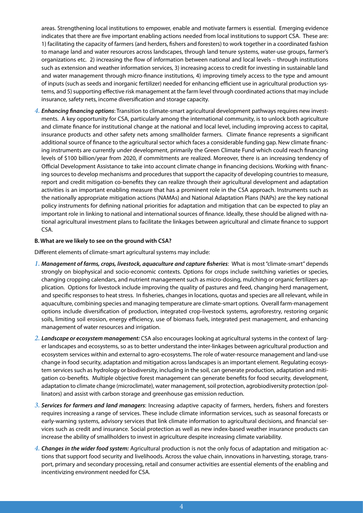areas. Strengthening local institutions to empower, enable and motivate farmers is essential. Emerging evidence indicates that there are five important enabling actions needed from local institutions to support CSA. These are: 1) facilitating the capacity of farmers (and herders, fishers and foresters) to work together in a coordinated fashion to manage land and water resources across landscapes, through land tenure systems, water-use groups, farmer's organizations etc. 2) increasing the flow of information between national and local levels – through institutions such as extension and weather information services, 3) increasing access to credit for investing in sustainable land and water management through micro-finance institutions, 4) improving timely access to the type and amount of inputs (such as seeds and inorganic fertilizer) needed for enhancing efficient use in agricultural production systems, and 5) supporting effective risk management at the farm level through coordinated actions that may include insurance, safety nets, income diversification and storage capacity.

*4. Enhancing financing options*: Transition to climate-smart agricultural development pathways requires new investments. A key opportunity for CSA, particularly among the international community, is to unlock both agriculture and climate finance for institutional change at the national and local level, including improving access to capital, insurance products and other safety nets among smallholder farmers. Climate finance represents a significant additional source of finance to the agricultural sector which faces a considerable funding gap. New climate financing instruments are currently under development, primarily the Green Climate Fund which could reach financing levels of \$100 billion/year from 2020, if commitments are realized. Moreover, there is an increasing tendency of Official Development Assistance to take into account climate change in financing decisions. Working with financing sources to develop mechanisms and procedures that support the capacity of developing countries to measure, report and credit mitigation co-benefits they can realize through their agricultural development and adaptation activities is an important enabling measure that has a prominent role in the CSA approach. Instruments such as the nationally appropriate mitigation actions (NAMAs) and National Adaptation Plans (NAPs) are the key national policy instruments for defining national priorities for adaptation and mitigation that can be expected to play an important role in linking to national and international sources of finance. Ideally, these should be aligned with national agricultural investment plans to facilitate the linkages between agricultural and climate finance to support CSA.

#### **B. What are we likely to see on the ground with CSA?**

Different elements of climate-smart agricultural systems may include:

- *1. Management of farms, crops, livestock, aquaculture and capture fisheries*: What is most "climate-smart" depends strongly on biophysical and socio-economic contexts. Options for crops include switching varieties or species, changing cropping calendars, and nutrient management such as micro-dosing, mulching or organic fertilizers application. Options for livestock include improving the quality of pastures and feed, changing herd management, and specific responses to heat stress. In fisheries, changes in locations, quotas and species are all relevant, while in aquaculture, combining species and managing temperature are climate-smart options. Overall farm-management options include diversification of production, integrated crop-livestock systems, agroforestry, restoring organic soils, limiting soil erosion, energy efficiency, use of biomass fuels, integrated pest management, and enhancing management of water resources and irrigation.
- *2. Landscape or ecosystem management:* CSA also encourages looking at agricultural systems in the context of larger landscapes and ecosystems, so as to better understand the inter-linkages between agricultural production and ecosystem services within and external to agro-ecosystems. The role of water-resource management and land-use change in food security, adaptation and mitigation across landscapes is an important element. Regulating ecosystem services such as hydrology or biodiversity, including in the soil, can generate production, adaptation and mitigation co-benefits. Multiple objective forest management can generate benefits for food security, development, adaptation to climate change (microclimate), water management, soil protection, agrobiodiversity protection (pollinators) and assist with carbon storage and greenhouse gas emission reduction.
- *3. Services for farmers and land managers*: Increasing adaptive capacity of farmers, herders, fishers and foresters requires increasing a range of services. These include climate information services, such as seasonal forecasts or early-warning systems, advisory services that link climate information to agricultural decisions, and financial services such as credit and insurance. Social protection as well as new index-based weather insurance products can increase the ability of smallholders to invest in agriculture despite increasing climate variability.
- *4. Changes in the wider food system:* Agricultural production is not the only focus of adaptation and mitigation actions that support food security and livelihoods. Across the value chain, innovations in harvesting, storage, transport, primary and secondary processing, retail and consumer activities are essential elements of the enabling and incentivizing environment needed for CSA.